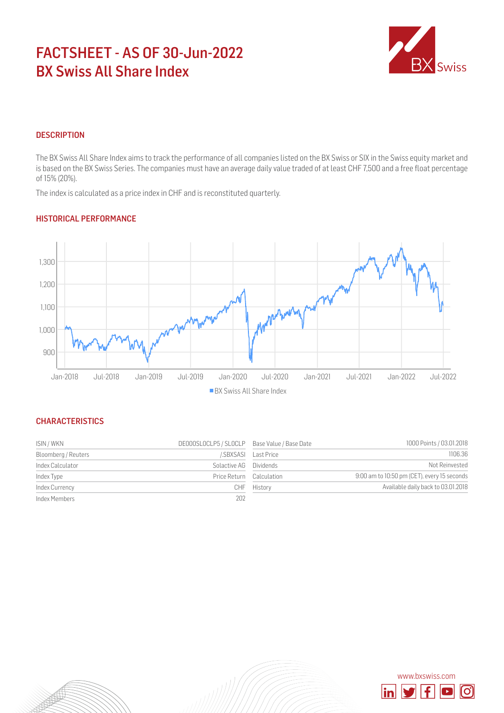# FACTSHEET - AS OF 30-Jun-2022 BX Swiss All Share Index



## **DESCRIPTION**

The BX Swiss All Share Index aims to track the performance of all companies listed on the BX Swiss or SIX in the Swiss equity market and is based on the BX Swiss Series. The companies must have an average daily value traded of at least CHF 7,500 and a free float percentage of 15% (20%).

The index is calculated as a price index in CHF and is reconstituted quarterly.

### HISTORICAL PERFORMANCE



#### **CHARACTERISTICS**

| ISIN / WKN          | DE000SLOCLP5 / SLOCLP Base Value / Base Date |            | 1000 Points / 03.01.2018                    |
|---------------------|----------------------------------------------|------------|---------------------------------------------|
| Bloomberg / Reuters | /.SBXSASI                                    | Last Price | 1106.36                                     |
| Index Calculator    | Solactive AG Dividends                       |            | Not Reinvested                              |
| Index Type          | Price Return Calculation                     |            | 9:00 am to 10:50 pm (CET), every 15 seconds |
| Index Currency      | CHE                                          | History    | Available daily back to 03.01.2018          |
| Index Members       | 202                                          |            |                                             |

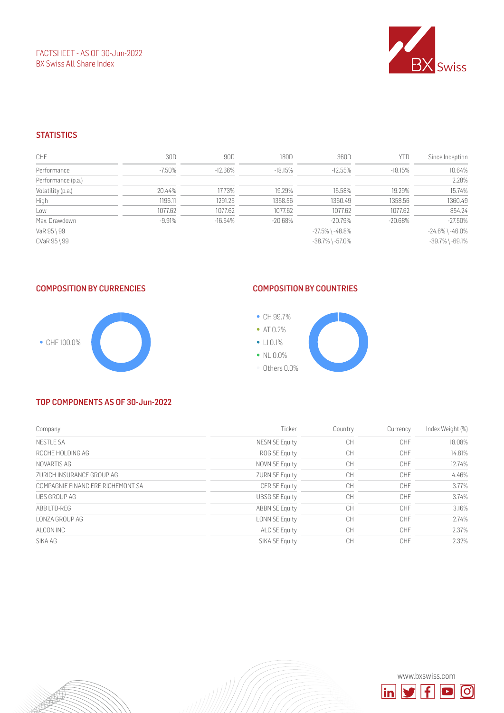FACTSHEET - AS OF 30-Jun-2022 BX Swiss All Share Index



#### **STATISTICS**

| CHF                | 30D       | 90D        | 180D       | 360D                  | YTD        | Since Inception       |
|--------------------|-----------|------------|------------|-----------------------|------------|-----------------------|
| Performance        | $-7.50\%$ | $-12.66\%$ | -18.15%    | $-12.55\%$            | -18.15%    | 10.64%                |
| Performance (p.a.) |           |            |            |                       |            | 2.28%                 |
| Volatility (p.a.)  | 20.44%    | 17.73%     | 19.29%     | 15.58%                | 19.29%     | 15.74%                |
| High               | 1196.11   | 1291.25    | 1358.56    | 1360.49               | 1358.56    | 1360.49               |
| Low                | 1077.62   | 1077.62    | 1077.62    | 1077.62               | 1077.62    | 854.24                |
| Max. Drawdown      | $-9.91%$  | $-16.54%$  | $-20.68\%$ | -20.79%               | $-20.68\%$ | $-27.50%$             |
| VaR 95 \ 99        |           |            |            | $-27.5\%$ \ $-48.8\%$ |            | $-24.6\%$ \ $-46.0\%$ |
| CVaR 95 \ 99       |           |            |            | $-38.7\%$ \ $-57.0\%$ |            | $-39.7\%$ \ $-69.1\%$ |

## COMPOSITION BY CURRENCIES



# COMPOSITION BY COUNTRIES



#### TOP COMPONENTS AS OF 30-Jun-2022

| Company                           | Ticker                | Country   | Currency   | Index Weight (%) |
|-----------------------------------|-----------------------|-----------|------------|------------------|
| <b>NESTLE SA</b>                  | NESN SE Equity        | <b>CH</b> | <b>CHF</b> | 18.08%           |
| ROCHE HOLDING AG                  | ROG SE Equity         | CН        | <b>CHF</b> | 14.81%           |
| NOVARTIS AG                       | NOVN SE Equity        | CН        | <b>CHF</b> | 12.74%           |
| ZURICH INSURANCE GROUP AG         | <b>ZURN SE Equity</b> | CН        | <b>CHF</b> | 4.46%            |
| COMPAGNIE FINANCIERE RICHEMONT SA | CFR SE Equity         | <b>CH</b> | <b>CHF</b> | 3.77%            |
| UBS GROUP AG                      | <b>UBSG SE Equity</b> | <b>CH</b> | <b>CHF</b> | 3.74%            |
| ABB LTD-REG                       | <b>ABBN SE Equity</b> | <b>CH</b> | CHF        | 3.16%            |
| LONZA GROUP AG                    | LONN SE Equity        | <b>CH</b> | <b>CHF</b> | 2.74%            |
| ALCON INC                         | ALC SE Equity         | CН        | <b>CHF</b> | 2.37%            |
| SIKA AG                           | SIKA SE Equity        | СH        | CHF        | 2.32%            |